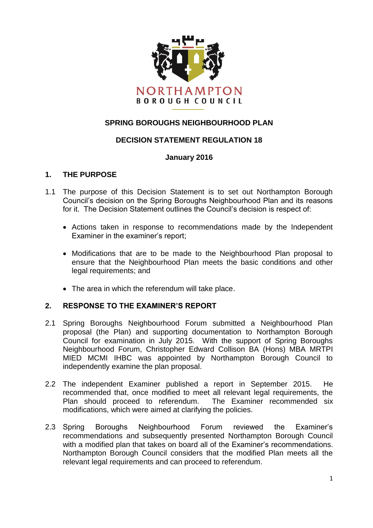

# **SPRING BOROUGHS NEIGHBOURHOOD PLAN**

## **DECISION STATEMENT REGULATION 18**

#### **January 2016**

#### **1. THE PURPOSE**

- 1.1 The purpose of this Decision Statement is to set out Northampton Borough Council's decision on the Spring Boroughs Neighbourhood Plan and its reasons for it. The Decision Statement outlines the Council's decision is respect of:
	- Actions taken in response to recommendations made by the Independent Examiner in the examiner's report;
	- Modifications that are to be made to the Neighbourhood Plan proposal to ensure that the Neighbourhood Plan meets the basic conditions and other legal requirements; and
	- The area in which the referendum will take place.

## **2. RESPONSE TO THE EXAMINER'S REPORT**

- 2.1 Spring Boroughs Neighbourhood Forum submitted a Neighbourhood Plan proposal (the Plan) and supporting documentation to Northampton Borough Council for examination in July 2015. With the support of Spring Boroughs Neighbourhood Forum, Christopher Edward Collison BA (Hons) MBA MRTPI MIED MCMI IHBC was appointed by Northampton Borough Council to independently examine the plan proposal.
- 2.2 The independent Examiner published a report in September 2015. He recommended that, once modified to meet all relevant legal requirements, the Plan should proceed to referendum. The Examiner recommended six modifications, which were aimed at clarifying the policies.
- 2.3 Spring Boroughs Neighbourhood Forum reviewed the Examiner's recommendations and subsequently presented Northampton Borough Council with a modified plan that takes on board all of the Examiner's recommendations. Northampton Borough Council considers that the modified Plan meets all the relevant legal requirements and can proceed to referendum.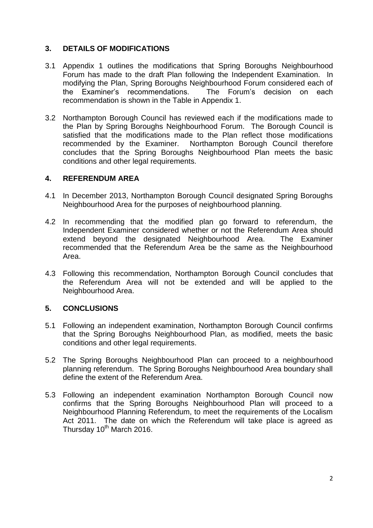## **3. DETAILS OF MODIFICATIONS**

- 3.1 Appendix 1 outlines the modifications that Spring Boroughs Neighbourhood Forum has made to the draft Plan following the Independent Examination. In modifying the Plan, Spring Boroughs Neighbourhood Forum considered each of the Examiner's recommendations. The Forum's decision on each recommendation is shown in the Table in Appendix 1.
- 3.2 Northampton Borough Council has reviewed each if the modifications made to the Plan by Spring Boroughs Neighbourhood Forum. The Borough Council is satisfied that the modifications made to the Plan reflect those modifications recommended by the Examiner. Northampton Borough Council therefore concludes that the Spring Boroughs Neighbourhood Plan meets the basic conditions and other legal requirements.

#### **4. REFERENDUM AREA**

- 4.1 In December 2013, Northampton Borough Council designated Spring Boroughs Neighbourhood Area for the purposes of neighbourhood planning.
- 4.2 In recommending that the modified plan go forward to referendum, the Independent Examiner considered whether or not the Referendum Area should extend beyond the designated Neighbourhood Area. The Examiner recommended that the Referendum Area be the same as the Neighbourhood Area.
- 4.3 Following this recommendation, Northampton Borough Council concludes that the Referendum Area will not be extended and will be applied to the Neighbourhood Area.

## **5. CONCLUSIONS**

- 5.1 Following an independent examination, Northampton Borough Council confirms that the Spring Boroughs Neighbourhood Plan, as modified, meets the basic conditions and other legal requirements.
- 5.2 The Spring Boroughs Neighbourhood Plan can proceed to a neighbourhood planning referendum. The Spring Boroughs Neighbourhood Area boundary shall define the extent of the Referendum Area.
- 5.3 Following an independent examination Northampton Borough Council now confirms that the Spring Boroughs Neighbourhood Plan will proceed to a Neighbourhood Planning Referendum, to meet the requirements of the Localism Act 2011. The date on which the Referendum will take place is agreed as Thursday  $10^{th}$  March 2016.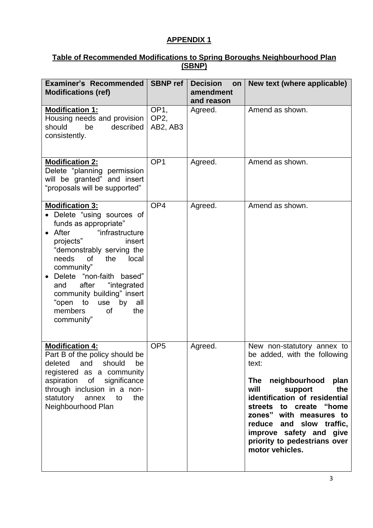# **APPENDIX 1**

## **Table of Recommended Modifications to Spring Boroughs Neighbourhood Plan (SBNP)**

| <b>Examiner's Recommended</b><br><b>Modifications (ref)</b>                                                                                                                                                                                                                                                                                                               | <b>SBNP</b> ref                                | <b>Decision</b><br>on<br>amendment<br>and reason | New text (where applicable)                                                                                                                                                                                                                                                                                              |
|---------------------------------------------------------------------------------------------------------------------------------------------------------------------------------------------------------------------------------------------------------------------------------------------------------------------------------------------------------------------------|------------------------------------------------|--------------------------------------------------|--------------------------------------------------------------------------------------------------------------------------------------------------------------------------------------------------------------------------------------------------------------------------------------------------------------------------|
| <b>Modification 1:</b><br>Housing needs and provision<br>be<br>should<br>described<br>consistently.                                                                                                                                                                                                                                                                       | OP <sub>1</sub><br>OP <sub>2</sub><br>AB2, AB3 | Agreed.                                          | Amend as shown.                                                                                                                                                                                                                                                                                                          |
| <b>Modification 2:</b><br>Delete "planning permission<br>will be granted" and insert<br>"proposals will be supported"                                                                                                                                                                                                                                                     | OP <sub>1</sub>                                | Agreed.                                          | Amend as shown.                                                                                                                                                                                                                                                                                                          |
| <b>Modification 3:</b><br>• Delete "using sources of<br>funds as appropriate"<br>After<br>"infrastructure<br>projects"<br>insert<br>"demonstrably serving the<br>needs<br>0f<br>the<br>local<br>community"<br>Delete "non-faith based"<br>after<br>"integrated<br>and<br>community building" insert<br>"open to<br>use<br>by<br>all<br>members<br>0f<br>the<br>community" | OP <sub>4</sub>                                | Agreed.                                          | Amend as shown.                                                                                                                                                                                                                                                                                                          |
| <b>Modification 4:</b><br>Part B of the policy should be<br>deleted and should be<br>registered as a community<br>aspiration of significance<br>through inclusion in a non-<br>statutory annex to<br>the<br>Neighbourhood Plan                                                                                                                                            | OP <sub>5</sub>                                | Agreed.                                          | New non-statutory annex to<br>be added, with the following<br>text:<br>The neighbourhood plan<br>will<br>support<br>the<br>identification of residential<br>streets to create "home<br>zones" with measures to<br>reduce and slow traffic,<br>improve safety and give<br>priority to pedestrians over<br>motor vehicles. |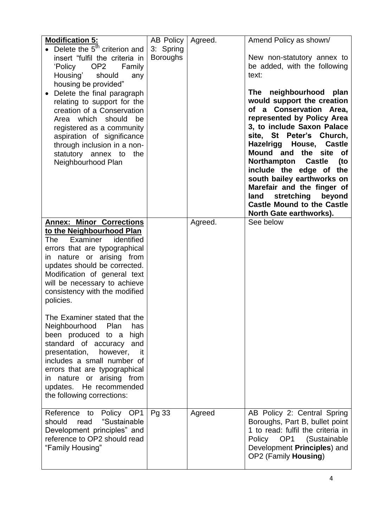| <b>Modification 5:</b>                                                                                                                                                                                                                                                                                                                                                                                                   | AB Policy                    | Agreed. | Amend Policy as shown/                                                                                                                                                                                                                                                                                                                                                                                                                                                                                                                           |
|--------------------------------------------------------------------------------------------------------------------------------------------------------------------------------------------------------------------------------------------------------------------------------------------------------------------------------------------------------------------------------------------------------------------------|------------------------------|---------|--------------------------------------------------------------------------------------------------------------------------------------------------------------------------------------------------------------------------------------------------------------------------------------------------------------------------------------------------------------------------------------------------------------------------------------------------------------------------------------------------------------------------------------------------|
| Delete the 5 <sup>th</sup> criterion and<br>insert "fulfil the criteria in<br>OP2<br>'Policy<br>Family<br>Housing'<br>should<br>any<br>housing be provided"<br>Delete the final paragraph<br>relating to support for the<br>creation of a Conservation<br>Area which should be<br>registered as a community<br>aspiration of significance<br>through inclusion in a non-<br>statutory annex to the<br>Neighbourhood Plan | 3: Spring<br><b>Boroughs</b> |         | New non-statutory annex to<br>be added, with the following<br>text:<br>neighbourhood<br>plan<br>The<br>would support the creation<br>of a Conservation Area,<br>represented by Policy Area<br>3, to include Saxon Palace<br>site, St Peter's Church,<br>Hazelrigg House,<br><b>Castle</b><br>Mound and the site of<br>Northampton<br><b>Castle</b><br>(to<br>include the edge of the<br>south bailey earthworks on<br>Marefair and the finger of<br>stretching<br>beyond<br>land<br><b>Castle Mound to the Castle</b><br>North Gate earthworks). |
| <b>Annex: Minor Corrections</b><br>to the Neighbourhood Plan<br>Examiner identified<br>The<br>errors that are typographical<br>in nature or arising from<br>updates should be corrected.<br>Modification of general text<br>will be necessary to achieve<br>consistency with the modified<br>policies.                                                                                                                   |                              | Agreed. | See below                                                                                                                                                                                                                                                                                                                                                                                                                                                                                                                                        |
| The Examiner stated that the<br>Neighbourhood<br>Plan<br>has<br>been produced to a high<br>standard of accuracy<br>and<br>presentation,<br>however,<br>-it<br>includes a small number of<br>errors that are typographical<br>nature or arising from<br>$\mathsf{I}$<br>updates. He recommended<br>the following corrections:                                                                                             |                              |         |                                                                                                                                                                                                                                                                                                                                                                                                                                                                                                                                                  |
| Reference to Policy OP1<br>"Sustainable<br>should<br>read<br>Development principles" and<br>reference to OP2 should read<br>"Family Housing"                                                                                                                                                                                                                                                                             | Pg 33                        | Agreed  | AB Policy 2: Central Spring<br>Boroughs, Part B, bullet point<br>1 to read: fulfil the criteria in<br>Policy OP1 (Sustainable<br>Development Principles) and<br>OP2 (Family Housing)                                                                                                                                                                                                                                                                                                                                                             |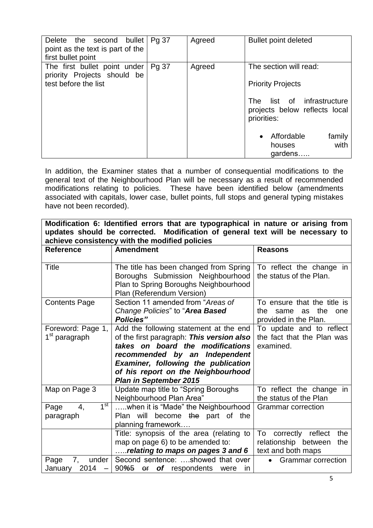| bullet<br>Delete the second      | Pg 37 | Agreed | <b>Bullet point deleted</b>                                                      |
|----------------------------------|-------|--------|----------------------------------------------------------------------------------|
| point as the text is part of the |       |        |                                                                                  |
| first bullet point               |       |        |                                                                                  |
| The first bullet point under     | Pg 37 | Agreed | The section will read:                                                           |
| priority Projects should be      |       |        |                                                                                  |
| test before the list             |       |        | <b>Priority Projects</b>                                                         |
|                                  |       |        | infrastructure<br>list of<br>The<br>projects below reflects local<br>priorities: |
|                                  |       |        | Affordable<br>family<br>with<br>houses<br>gardens                                |

In addition, the Examiner states that a number of consequential modifications to the general text of the Neighbourhood Plan will be necessary as a result of recommended modifications relating to policies. These have been identified below (amendments associated with capitals, lower case, bullet points, full stops and general typing mistakes have not been recorded).

**Modification 6: Identified errors that are typographical in nature or arising from updates should be corrected. Modification of general text will be necessary to achieve consistency with the modified policies**

| <b>Reference</b>                               | <b>Amendment</b>                                                                                                                                                                                                                                                              | <b>Reasons</b>                                                                                         |
|------------------------------------------------|-------------------------------------------------------------------------------------------------------------------------------------------------------------------------------------------------------------------------------------------------------------------------------|--------------------------------------------------------------------------------------------------------|
| Title                                          | The title has been changed from Spring<br>Boroughs Submission Neighbourhood<br>Plan to Spring Boroughs Neighbourhood<br>Plan (Referendum Version)                                                                                                                             | To reflect the change in<br>the status of the Plan.                                                    |
| <b>Contents Page</b>                           | Section 11 amended from "Areas of<br>Change Policies" to "Area Based<br><b>Policies"</b>                                                                                                                                                                                      | To ensure that the title is<br>the<br>the<br>same<br>as<br>one<br>provided in the Plan.                |
| Foreword: Page 1,<br>1 <sup>st</sup> paragraph | Add the following statement at the end<br>of the first paragraph: This version also<br>takes on board the modifications<br>recommended by an Independent<br><b>Examiner, following the publication</b><br>of his report on the Neighbourhood<br><b>Plan in September 2015</b> | To update and to reflect<br>the fact that the Plan was<br>examined.                                    |
| Map on Page 3                                  | Update map title to "Spring Boroughs"<br>Neighbourhood Plan Area"                                                                                                                                                                                                             | To reflect the change in<br>the status of the Plan                                                     |
| 1 <sup>st</sup><br>Page<br>4.<br>paragraph     | when it is "Made" the Neighbourhood<br>Plan will become the part of the<br>planning framework                                                                                                                                                                                 | <b>Grammar</b> correction                                                                              |
| Page<br>under<br>7,                            | Title: synopsis of the area (relating to<br>map on page 6) to be amended to:<br>relating to maps on pages 3 and 6<br>Second sentence: showed that over                                                                                                                        | To correctly reflect<br>the<br>relationship between<br>the<br>text and both maps<br>Grammar correction |
| 2014<br>January                                | 90%5<br>or of respondents<br>were<br>in.                                                                                                                                                                                                                                      |                                                                                                        |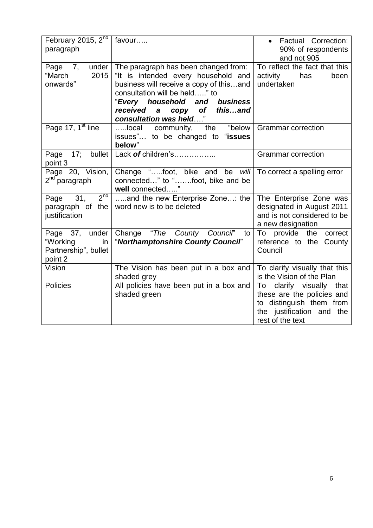| February 2015, $2nd$<br>paragraph                                   | favour                                                                                                                                                                                                                                           | <b>Factual Correction:</b><br>$\bullet$<br>90% of respondents<br>and not 905                                                        |
|---------------------------------------------------------------------|--------------------------------------------------------------------------------------------------------------------------------------------------------------------------------------------------------------------------------------------------|-------------------------------------------------------------------------------------------------------------------------------------|
| Page 7,<br>under<br>"March<br>2015<br>onwards"                      | The paragraph has been changed from:<br>"It is intended every household and<br>business will receive a copy of thisand<br>consultation will be held" to<br>"Every household and business<br>received a copy of thisand<br>consultation was held" | To reflect the fact that this<br>activity<br>has<br>been<br>undertaken                                                              |
| Page 17, 1 <sup>st</sup> line                                       | local community, the "below<br>issues" to be changed to "issues<br>below"                                                                                                                                                                        | <b>Grammar correction</b>                                                                                                           |
| Page 17; bullet<br>point 3                                          | Lack of children's                                                                                                                                                                                                                               | <b>Grammar</b> correction                                                                                                           |
| Page 20, Vision,<br>2 <sup>nd</sup> paragraph                       | Change "foot, bike and be will<br>connected" to "foot, bike and be<br>well connected"                                                                                                                                                            | To correct a spelling error                                                                                                         |
| $2^{nd}$<br>Page 31,<br>paragraph of the<br>justification           | and the new Enterprise Zone: the<br>word new is to be deleted                                                                                                                                                                                    | The Enterprise Zone was<br>designated in August 2011<br>and is not considered to be<br>a new designation                            |
| Page 37, under<br>"Working<br>in<br>Partnership", bullet<br>point 2 | Change "The County Council" to<br>"Northamptonshire County Council"                                                                                                                                                                              | To provide<br>the<br>correct<br>reference to the County<br>Council                                                                  |
| Vision                                                              | The Vision has been put in a box and<br>shaded grey                                                                                                                                                                                              | To clarify visually that this<br>is the Vision of the Plan                                                                          |
| <b>Policies</b>                                                     | All policies have been put in a box and<br>shaded green                                                                                                                                                                                          | To clarify visually that<br>these are the policies and<br>to distinguish them from<br>the justification and the<br>rest of the text |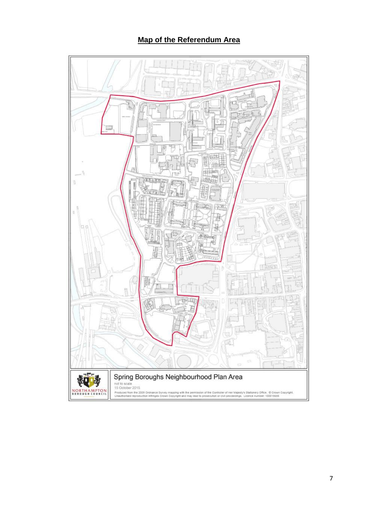# **Map of the Referendum Area**